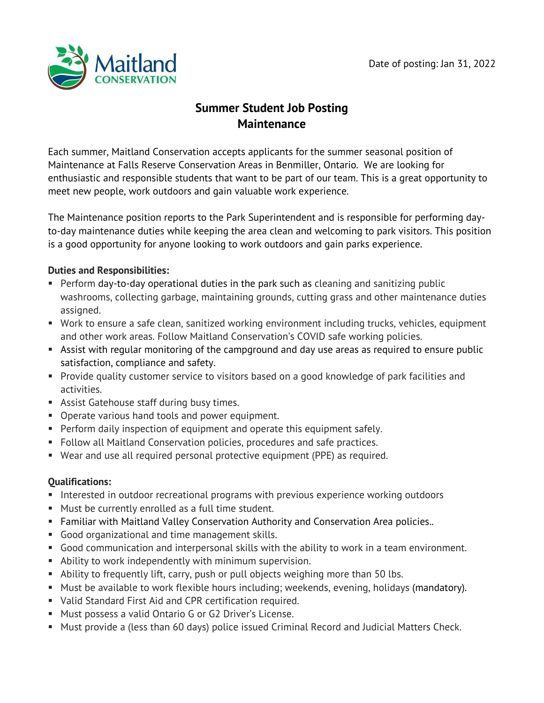

# **Summer Student Job Posting Maintenance**

Each summer, Maitland Conservation accepts applicants for the summer seasonal position of Maintenance at Falls Reserve Conservation Areas in Benmiller, Ontario. We are looking for enthusiastic and responsible students that want to be part of our team. This is a great opportunity to meet new people, work outdoors and gain valuable work experience.

The Maintenance position reports to the Park Superintendent and is responsible for performing dayto-day maintenance duties while keeping the area clean and welcoming to park visitors. This position is a good opportunity for anyone looking to work outdoors and gain parks experience.

## **Duties and Responsibilities:**

- Perform day-to-day operational duties in the park such as cleaning and sanitizing public washrooms, collecting garbage, maintaining grounds, cutting grass and other maintenance duties assigned.
- Work to ensure a safe clean, sanitized working environment including trucks, vehicles, equipment and other work areas. Follow Maitland Conservation's COVID safe working policies.
- Assist with regular monitoring of the campground and day use areas as required to ensure public satisfaction, compliance and safety.
- Provide quality customer service to visitors based on a good knowledge of park facilities and activities.
- Assist Gatehouse staff during busy times.
- Operate various hand tools and power equipment.
- Perform daily inspection of equipment and operate this equipment safely.
- Follow all Maitland Conservation policies, procedures and safe practices.
- Wear and use all required personal protective equipment (PPE) as required.

# **Qualifications:**

- Interested in outdoor recreational programs with previous experience working outdoors
- Must be currently enrolled as a full time student.
- **Familiar with Maitland Valley Conservation Authority and Conservation Area policies..**
- Good organizational and time management skills.
- Good communication and interpersonal skills with the ability to work in a team environment.
- Ability to work independently with minimum supervision.
- Ability to frequently lift, carry, push or pull objects weighing more than 50 lbs.
- Must be available to work flexible hours including; weekends, evening, holidays (mandatory).
- Valid Standard First Aid and CPR certification required.
- Must possess a valid Ontario G or G2 Driver's License.
- Must provide a (less than 60 days) police issued Criminal Record and Judicial Matters Check.